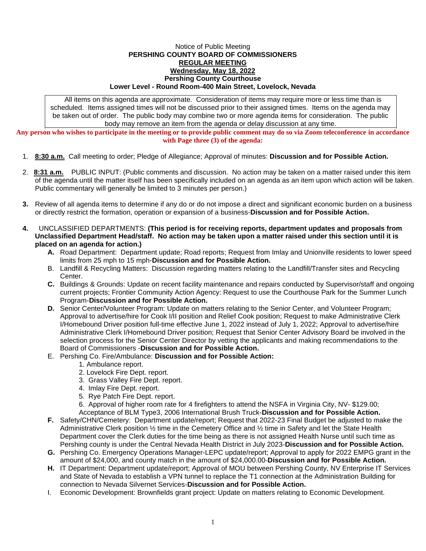## Notice of Public Meeting **PERSHING COUNTY BOARD OF COMMISSIONERS REGULAR MEETING Wednesday, May 18, 2022 Pershing County Courthouse Lower Level - Round Room-400 Main Street, Lovelock, Nevada**

All items on this agenda are approximate. Consideration of items may require more or less time than is scheduled. Items assigned times will not be discussed prior to their assigned times. Items on the agenda may be taken out of order. The public body may combine two or more agenda items for consideration. The public body may remove an item from the agenda or delay discussion at any time.

**Any person who wishes to participate in the meeting or to provide public comment may do so via Zoom teleconference in accordance with Page three (3) of the agenda:**

- 1. **8:30 a.m.** Call meeting to order; Pledge of Allegiance; Approval of minutes: **Discussion and for Possible Action.**
- 2. **8:31 a.m.** PUBLIC INPUT: (Public comments and discussion. No action may be taken on a matter raised under this item of the agenda until the matter itself has been specifically included on an agenda as an item upon which action will be taken. Public commentary will generally be limited to 3 minutes per person.)
- **3.** Review of all agenda items to determine if any do or do not impose a direct and significant economic burden on a business or directly restrict the formation, operation or expansion of a business-**Discussion and for Possible Action.**
- **4.** UNCLASSIFIED DEPARTMENTS: **(This period is for receiving reports, department updates and proposals from Unclassified Department Head/staff. No action may be taken upon a matter raised under this section until it is placed on an agenda for action.)**
	- **A.** Road Department: Department update; Road reports; Request from Imlay and Unionville residents to lower speed limits from 25 mph to 15 mph-**Discussion and for Possible Action.**
	- B. Landfill & Recycling Matters: Discussion regarding matters relating to the Landfill/Transfer sites and Recycling Center.
	- **C.** Buildings & Grounds: Update on recent facility maintenance and repairs conducted by Supervisor/staff and ongoing current projects; Frontier Community Action Agency: Request to use the Courthouse Park for the Summer Lunch Program-**Discussion and for Possible Action.**
	- **D.** Senior Center/Volunteer Program: Update on matters relating to the Senior Center, and Volunteer Program; Approval to advertise/hire for Cook I/II position and Relief Cook position; Request to make Administrative Clerk I/Homebound Driver position full-time effective June 1, 2022 instead of July 1, 2022; Approval to advertise/hire Administrative Clerk I/Homebound Driver position; Request that Senior Center Advisory Board be involved in the selection process for the Senior Center Director by vetting the applicants and making recommendations to the Board of Commissioners -**Discussion and for Possible Action.**
	- E. Pershing Co. Fire/Ambulance: **Discussion and for Possible Action:**
		- 1. Ambulance report.
		- 2. Lovelock Fire Dept. report.
		- 3. Grass Valley Fire Dept. report.
		- 4. Imlay Fire Dept. report.
		- 5. Rye Patch Fire Dept. report.
		- 6. Approval of higher room rate for 4 firefighters to attend the NSFA in Virginia City, NV- \$129.00;
		- Acceptance of BLM Type3, 2006 International Brush Truck-**Discussion and for Possible Action.**
	- **F.** Safety/CHN/Cemetery: Department update/report; Request that 2022-23 Final Budget be adjusted to make the Administrative Clerk position ½ time in the Cemetery Office and ½ time in Safety and let the State Health Department cover the Clerk duties for the time being as there is not assigned Health Nurse until such time as Pershing county is under the Central Nevada Health District in July 2023-**Discussion and for Possible Action.**
	- **G.** Pershing Co. Emergency Operations Manager-LEPC update/report; Approval to apply for 2022 EMPG grant in the amount of \$24,000, and county match in the amount of \$24,000.00-**Discussion and for Possible Action.**
	- **H.** IT Department: Department update/report; Approval of MOU between Pershing County, NV Enterprise IT Services and State of Nevada to establish a VPN tunnel to replace the T1 connection at the Administration Building for connection to Nevada Silvernet Services-**Discussion and for Possible Action.**
	- I. Economic Development: Brownfields grant project: Update on matters relating to Economic Development.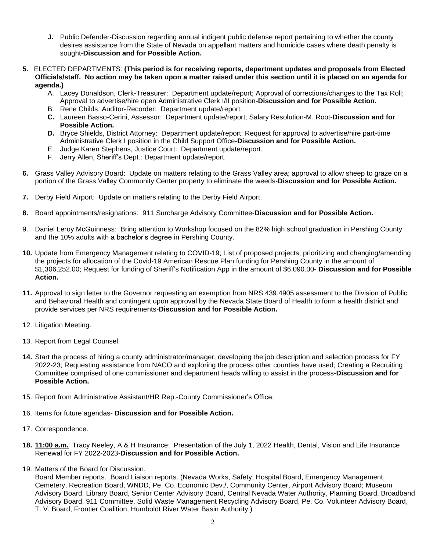- **J.** Public Defender-Discussion regarding annual indigent public defense report pertaining to whether the county desires assistance from the State of Nevada on appellant matters and homicide cases where death penalty is sought-**Discussion and for Possible Action.**
- **5.** ELECTED DEPARTMENTS: **(This period is for receiving reports, department updates and proposals from Elected Officials/staff. No action may be taken upon a matter raised under this section until it is placed on an agenda for agenda.)**
	- A. Lacey Donaldson, Clerk-Treasurer: Department update/report; Approval of corrections/changes to the Tax Roll; Approval to advertise/hire open Administrative Clerk I/II position-**Discussion and for Possible Action.**
	- B. Rene Childs, Auditor-Recorder: Department update/report.
	- **C.** Laureen Basso-Cerini, Assessor: Department update/report; Salary Resolution-M. Root-**Discussion and for Possible Action.**
	- **D.** Bryce Shields, District Attorney: Department update/report; Request for approval to advertise/hire part-time Administrative Clerk I position in the Child Support Office-**Discussion and for Possible Action.**
	- E. Judge Karen Stephens, Justice Court: Department update/report.
	- F. Jerry Allen, Sheriff's Dept.: Department update/report.
- **6.** Grass Valley Advisory Board: Update on matters relating to the Grass Valley area; approval to allow sheep to graze on a portion of the Grass Valley Community Center property to eliminate the weeds-**Discussion and for Possible Action.**
- **7.** Derby Field Airport: Update on matters relating to the Derby Field Airport.
- **8.** Board appointments/resignations: 911 Surcharge Advisory Committee-**Discussion and for Possible Action.**
- 9. Daniel Leroy McGuinness: Bring attention to Workshop focused on the 82% high school graduation in Pershing County and the 10% adults with a bachelor's degree in Pershing County.
- **10.** Update from Emergency Management relating to COVID-19; List of proposed projects, prioritizing and changing/amending the projects for allocation of the Covid-19 American Rescue Plan funding for Pershing County in the amount of \$1,306,252.00; Request for funding of Sheriff's Notification App in the amount of \$6,090.00- **Discussion and for Possible Action.**
- **11.** Approval to sign letter to the Governor requesting an exemption from NRS 439.4905 assessment to the Division of Public and Behavioral Health and contingent upon approval by the Nevada State Board of Health to form a health district and provide services per NRS requirements-**Discussion and for Possible Action.**
- 12. Litigation Meeting.
- 13. Report from Legal Counsel.
- **14.** Start the process of hiring a county administrator/manager, developing the job description and selection process for FY 2022-23; Requesting assistance from NACO and exploring the process other counties have used; Creating a Recruiting Committee comprised of one commissioner and department heads willing to assist in the process-**Discussion and for Possible Action.**
- 15. Report from Administrative Assistant/HR Rep.-County Commissioner's Office.
- 16. Items for future agendas- **Discussion and for Possible Action.**
- 17. Correspondence.
- **18. 11:00 a.m.** Tracy Neeley, A & H Insurance: Presentation of the July 1, 2022 Health, Dental, Vision and Life Insurance Renewal for FY 2022-2023-**Discussion and for Possible Action.**
- 19. Matters of the Board for Discussion.

Board Member reports. Board Liaison reports. (Nevada Works, Safety, Hospital Board, Emergency Management, Cemetery, Recreation Board, WNDD, Pe. Co. Economic Dev./, Community Center, Airport Advisory Board; Museum Advisory Board, Library Board, Senior Center Advisory Board, Central Nevada Water Authority, Planning Board, Broadband Advisory Board, 911 Committee, Solid Waste Management Recycling Advisory Board, Pe. Co. Volunteer Advisory Board, T. V. Board, Frontier Coalition, Humboldt River Water Basin Authority.)